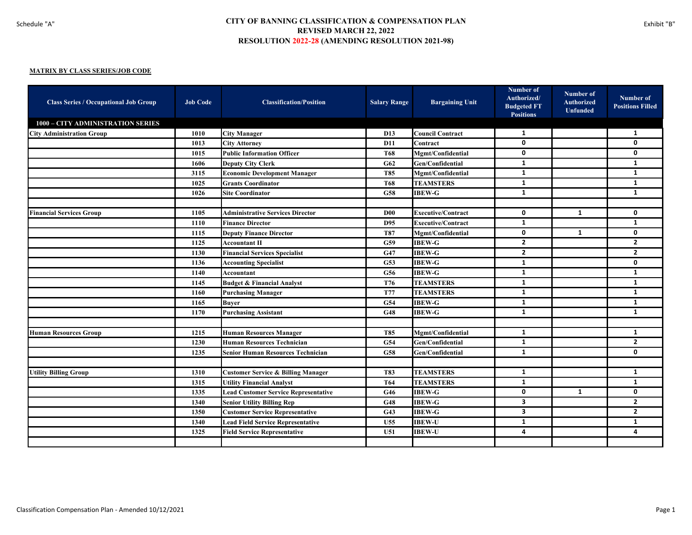| <b>Class Series / Occupational Job Group</b> | <b>Job Code</b> | <b>Classification/Position</b>                | <b>Salary Range</b> | <b>Bargaining Unit</b>    | Number of<br>Authorized/<br><b>Budgeted FT</b><br><b>Positions</b> | <b>Number of</b><br>Authorized<br><b>Unfunded</b> | Number of<br><b>Positions Filled</b> |
|----------------------------------------------|-----------------|-----------------------------------------------|---------------------|---------------------------|--------------------------------------------------------------------|---------------------------------------------------|--------------------------------------|
| 1000 - CITY ADMINISTRATION SERIES            |                 |                                               |                     |                           |                                                                    |                                                   |                                      |
| <b>City Administration Group</b>             | 1010            | <b>City Manager</b>                           | D <sub>13</sub>     | <b>Council Contract</b>   | 1                                                                  |                                                   | 1                                    |
|                                              | 1013            | <b>City Attorney</b>                          | <b>D11</b>          | Contract                  | $\mathbf 0$                                                        |                                                   | $\mathbf 0$                          |
|                                              | 1015            | <b>Public Information Officer</b>             | T68                 | Mgmt/Confidential         | $\mathbf 0$                                                        |                                                   | 0                                    |
|                                              | 1606            | <b>Deputy City Clerk</b>                      | G62                 | Gen/Confidential          | 1                                                                  |                                                   | 1                                    |
|                                              | 3115            | <b>Economic Development Manager</b>           | <b>T85</b>          | Mgmt/Confidential         | $\mathbf{1}$                                                       |                                                   | 1                                    |
|                                              | 1025            | <b>Grants Coordinator</b>                     | <b>T68</b>          | <b>TEAMSTERS</b>          | $\mathbf{1}$                                                       |                                                   | $\mathbf{1}$                         |
|                                              | 1026            | <b>Site Coordinator</b>                       | <b>G58</b>          | <b>IBEW-G</b>             | $\mathbf{1}$                                                       |                                                   | $\mathbf{1}$                         |
|                                              |                 |                                               |                     |                           |                                                                    |                                                   |                                      |
| <b>Financial Services Group</b>              | 1105            | <b>Administrative Services Director</b>       | $\bf{D}00$          | <b>Executive/Contract</b> | $\mathbf 0$                                                        | $\mathbf{1}$                                      | 0                                    |
|                                              | 1110            | <b>Finance Director</b>                       | D95                 | <b>Executive/Contract</b> | $\mathbf{1}$                                                       |                                                   | $\mathbf{1}$                         |
|                                              | 1115            | <b>Deputy Finance Director</b>                | <b>T87</b>          | Mgmt/Confidential         | $\mathbf 0$                                                        | $\mathbf{1}$                                      | 0                                    |
|                                              | 1125            | <b>Accountant II</b>                          | G59                 | <b>IBEW-G</b>             | $\overline{2}$                                                     |                                                   | $\overline{2}$                       |
|                                              | 1130            | <b>Financial Services Specialist</b>          | G47                 | <b>IBEW-G</b>             | $\overline{2}$                                                     |                                                   | $\overline{2}$                       |
|                                              | 1136            | <b>Accounting Specialist</b>                  | <b>G53</b>          | <b>IBEW-G</b>             | $\mathbf{1}$                                                       |                                                   | 0                                    |
|                                              | 1140            | Accountant                                    | G56                 | <b>IBEW-G</b>             | 1                                                                  |                                                   | 1                                    |
|                                              | 1145            | <b>Budget &amp; Financial Analyst</b>         | T76                 | <b>TEAMSTERS</b>          | 1                                                                  |                                                   | 1                                    |
|                                              | 1160            | <b>Purchasing Manager</b>                     | <b>T77</b>          | <b>TEAMSTERS</b>          | 1                                                                  |                                                   | 1                                    |
|                                              | 1165            | <b>Buver</b>                                  | G54                 | <b>IBEW-G</b>             | 1                                                                  |                                                   | 1                                    |
|                                              | 1170            | <b>Purchasing Assistant</b>                   | G48                 | <b>IBEW-G</b>             | $\mathbf{1}$                                                       |                                                   | $\mathbf{1}$                         |
|                                              |                 |                                               |                     |                           |                                                                    |                                                   |                                      |
| <b>Human Resources Group</b>                 | 1215            | <b>Human Resources Manager</b>                | <b>T85</b>          | Mgmt/Confidential         | 1                                                                  |                                                   | 1                                    |
|                                              | 1230            | <b>Human Resources Technician</b>             | G54                 | Gen/Confidential          | $\mathbf{1}$                                                       |                                                   | $\overline{2}$                       |
|                                              | 1235            | <b>Senior Human Resources Technician</b>      | <b>G58</b>          | Gen/Confidential          | $\mathbf{1}$                                                       |                                                   | $\mathbf{0}$                         |
|                                              |                 |                                               |                     |                           |                                                                    |                                                   |                                      |
| <b>Utility Billing Group</b>                 | 1310            | <b>Customer Service &amp; Billing Manager</b> | T83                 | <b>TEAMSTERS</b>          | 1                                                                  |                                                   | 1                                    |
|                                              | 1315            | <b>Utility Financial Analyst</b>              | T <sub>64</sub>     | <b>TEAMSTERS</b>          | 1                                                                  |                                                   | $\mathbf{1}$                         |
|                                              | 1335            | <b>Lead Customer Service Representative</b>   | G46                 | <b>IBEW-G</b>             | $\mathbf 0$                                                        | 1                                                 | 0                                    |
|                                              | 1340            | <b>Senior Utility Billing Rep</b>             | G48                 | <b>IBEW-G</b>             | 3                                                                  |                                                   | $\mathbf{2}$                         |
|                                              | 1350            | <b>Customer Service Representative</b>        | G43                 | <b>IBEW-G</b>             | $\overline{\mathbf{3}}$                                            |                                                   | $\overline{2}$                       |
|                                              | 1340            | <b>Lead Field Service Representative</b>      | U <sub>55</sub>     | <b>IBEW-U</b>             | $\mathbf{1}$                                                       |                                                   | $\mathbf{1}$                         |
|                                              | 1325            | <b>Field Service Representative</b>           | U <sub>51</sub>     | <b>IBEW-U</b>             | 4                                                                  |                                                   | 4                                    |
|                                              |                 |                                               |                     |                           |                                                                    |                                                   |                                      |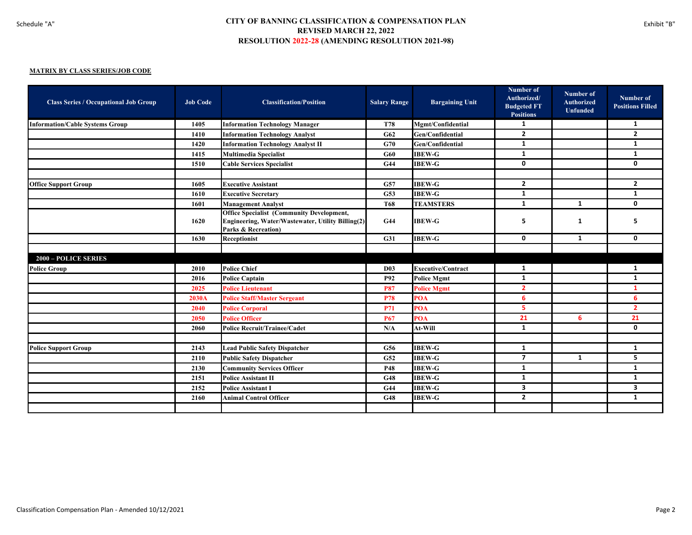| <b>Class Series / Occupational Job Group</b> | <b>Job Code</b> | <b>Classification/Position</b>                                                                                                          | <b>Salary Range</b> | <b>Bargaining Unit</b>    | Number of<br>Authorized/<br><b>Budgeted FT</b><br><b>Positions</b> | <b>Number of</b><br><b>Authorized</b><br><b>Unfunded</b> | Number of<br><b>Positions Filled</b> |
|----------------------------------------------|-----------------|-----------------------------------------------------------------------------------------------------------------------------------------|---------------------|---------------------------|--------------------------------------------------------------------|----------------------------------------------------------|--------------------------------------|
| <b>Information/Cable Systems Group</b>       | 1405            | <b>Information Technology Manager</b>                                                                                                   | T78                 | <b>Mgmt/Confidential</b>  | 1                                                                  |                                                          | 1                                    |
|                                              | 1410            | <b>Information Technology Analyst</b>                                                                                                   | G62                 | Gen/Confidential          | $\overline{2}$                                                     |                                                          | $\overline{2}$                       |
|                                              | 1420            | <b>Information Technology Analyst II</b>                                                                                                | G70                 | Gen/Confidential          | $\mathbf{1}$                                                       |                                                          | $\mathbf{1}$                         |
|                                              | 1415            | <b>Multimedia Specialist</b>                                                                                                            | G60                 | <b>IBEW-G</b>             | $\mathbf{1}$                                                       |                                                          | $\mathbf{1}$                         |
|                                              | 1510            | <b>Cable Services Specialist</b>                                                                                                        | <b>G44</b>          | <b>IBEW-G</b>             | 0                                                                  |                                                          | $\mathbf 0$                          |
|                                              |                 |                                                                                                                                         |                     |                           |                                                                    |                                                          |                                      |
| <b>Office Support Group</b>                  | 1605            | <b>Executive Assistant</b>                                                                                                              | G57                 | <b>IBEW-G</b>             | $\mathbf{2}$                                                       |                                                          | $\overline{2}$                       |
|                                              | 1610            | <b>Executive Secretary</b>                                                                                                              | G53                 | <b>IBEW-G</b>             | $\mathbf{1}$                                                       |                                                          | $\mathbf{1}$                         |
|                                              | 1601            | <b>Management Analyst</b>                                                                                                               | <b>T68</b>          | <b>TEAMSTERS</b>          | $\mathbf{1}$                                                       | $\mathbf{1}$                                             | 0                                    |
|                                              | 1620            | <b>Office Specialist (Community Development,</b><br>Engineering, Water/Wastewater, Utility Billing(2)<br><b>Parks &amp; Recreation)</b> | <b>G44</b>          | <b>IBEW-G</b>             | 5                                                                  | 1                                                        | 5                                    |
|                                              | 1630            | Receptionist                                                                                                                            | G31                 | <b>IBEW-G</b>             | 0                                                                  | $\mathbf{1}$                                             | $\mathbf{0}$                         |
|                                              |                 |                                                                                                                                         |                     |                           |                                                                    |                                                          |                                      |
| <b>2000 - POLICE SERIES</b>                  |                 |                                                                                                                                         |                     |                           |                                                                    |                                                          |                                      |
| <b>Police Group</b>                          | 2010            | <b>Police Chief</b>                                                                                                                     | <b>D03</b>          | <b>Executive/Contract</b> | 1                                                                  |                                                          | 1                                    |
|                                              | 2016            | <b>Police Captain</b>                                                                                                                   | <b>P92</b>          | <b>Police Mgmt</b>        | 1                                                                  |                                                          | $\mathbf{1}$                         |
|                                              | 2025            | <b>Police Lieutenant</b>                                                                                                                | <b>P87</b>          | <b>Police Mgmt</b>        | $\mathbf{2}$                                                       |                                                          | 1                                    |
|                                              | 2030A           | <b>Police Staff/Master Sergeant</b>                                                                                                     | <b>P78</b>          | <b>POA</b>                | 6                                                                  |                                                          | 6                                    |
|                                              | 2040            | <b>Police Corporal</b>                                                                                                                  | <b>P71</b>          | POA                       | 5                                                                  |                                                          | $\overline{2}$                       |
|                                              | 2050            | <b>Police Officer</b>                                                                                                                   | <b>P67</b>          | POA                       | 21                                                                 | 6                                                        | 21                                   |
|                                              | 2060            | <b>Police Recruit/Trainee/Cadet</b>                                                                                                     | N/A                 | At-Will                   | $\mathbf{1}$                                                       |                                                          | $\mathbf 0$                          |
|                                              |                 |                                                                                                                                         |                     |                           |                                                                    |                                                          |                                      |
| <b>Police Support Group</b>                  | 2143            | <b>Lead Public Safety Dispatcher</b>                                                                                                    | G56                 | <b>IBEW-G</b>             | $\mathbf{1}$                                                       |                                                          | 1                                    |
|                                              | 2110            | <b>Public Safety Dispatcher</b>                                                                                                         | G52                 | <b>IBEW-G</b>             | $\overline{\mathbf{z}}$                                            | $\mathbf{1}$                                             | 5                                    |
|                                              | 2130            | <b>Community Services Officer</b>                                                                                                       | <b>P48</b>          | <b>IBEW-G</b>             | $\mathbf{1}$                                                       |                                                          | $\mathbf{1}$                         |
|                                              | 2151            | <b>Police Assistant II</b>                                                                                                              | <b>G48</b>          | <b>IBEW-G</b>             | $\mathbf{1}$                                                       |                                                          | $\mathbf{1}$                         |
|                                              | 2152            | <b>Police Assistant I</b>                                                                                                               | G44                 | <b>IBEW-G</b>             | $\overline{\mathbf{3}}$                                            |                                                          | 3                                    |
|                                              | 2160            | <b>Animal Control Officer</b>                                                                                                           | G48                 | <b>IBEW-G</b>             | $\overline{2}$                                                     |                                                          | 1                                    |
|                                              |                 |                                                                                                                                         |                     |                           |                                                                    |                                                          |                                      |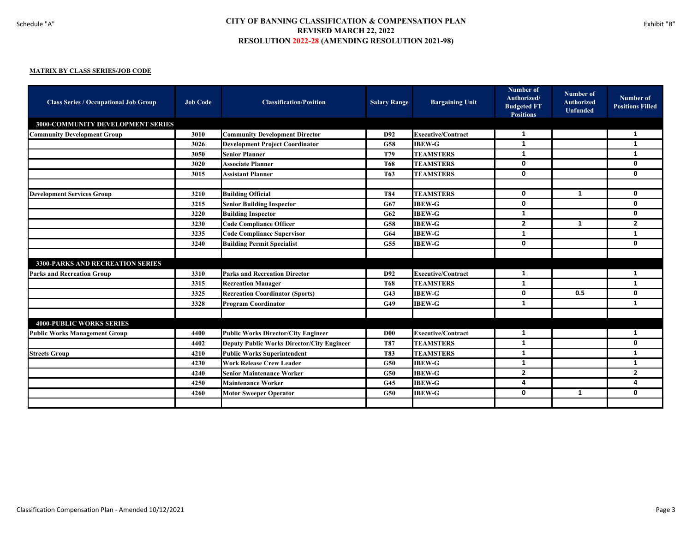| <b>Class Series / Occupational Job Group</b> | <b>Job Code</b> | <b>Classification/Position</b>                    | <b>Salary Range</b> | <b>Bargaining Unit</b>    | <b>Number of</b><br>Authorized/<br><b>Budgeted FT</b><br><b>Positions</b> | Number of<br><b>Authorized</b><br><b>Unfunded</b> | Number of<br><b>Positions Filled</b> |
|----------------------------------------------|-----------------|---------------------------------------------------|---------------------|---------------------------|---------------------------------------------------------------------------|---------------------------------------------------|--------------------------------------|
| <b>3000-COMMUNITY DEVELOPMENT SERIES</b>     |                 |                                                   |                     |                           |                                                                           |                                                   |                                      |
| <b>Community Development Group</b>           | 3010            | <b>Community Development Director</b>             | D92                 | <b>Executive/Contract</b> | 1                                                                         |                                                   | 1                                    |
|                                              | 3026            | <b>Development Project Coordinator</b>            | <b>G58</b>          | <b>IBEW-G</b>             | -1                                                                        |                                                   | 1                                    |
|                                              | 3050            | <b>Senior Planner</b>                             | T79                 | <b>TEAMSTERS</b>          | 1                                                                         |                                                   | 1                                    |
|                                              | 3020            | <b>Associate Planner</b>                          | <b>T68</b>          | <b>TEAMSTERS</b>          | $\mathbf 0$                                                               |                                                   | $\mathbf{0}$                         |
|                                              | 3015            | <b>Assistant Planner</b>                          | T <sub>63</sub>     | <b>TEAMSTERS</b>          | 0                                                                         |                                                   | 0                                    |
|                                              |                 |                                                   |                     |                           |                                                                           |                                                   |                                      |
| <b>Development Services Group</b>            | 3210            | <b>Building Official</b>                          | <b>T84</b>          | <b>TEAMSTERS</b>          | $\mathbf 0$                                                               | 1                                                 | 0                                    |
|                                              | 3215            | <b>Senior Building Inspector</b>                  | G67                 | <b>IBEW-G</b>             | 0                                                                         |                                                   | 0                                    |
|                                              | 3220            | <b>Building Inspector</b>                         | G62                 | <b>IBEW-G</b>             | 1                                                                         |                                                   | 0                                    |
|                                              | 3230            | <b>Code Compliance Officer</b>                    | G58                 | <b>IBEW-G</b>             | $\overline{2}$                                                            | 1                                                 | $\overline{2}$                       |
|                                              | 3235            | <b>Code Compliance Supervisor</b>                 | G64                 | <b>IBEW-G</b>             | 1                                                                         |                                                   | 1                                    |
|                                              | 3240            | <b>Building Permit Specialist</b>                 | G55                 | <b>IBEW-G</b>             | 0                                                                         |                                                   | $\mathbf{0}$                         |
|                                              |                 |                                                   |                     |                           |                                                                           |                                                   |                                      |
| <b>3300-PARKS AND RECREATION SERIES</b>      |                 |                                                   |                     |                           |                                                                           |                                                   |                                      |
| <b>Parks and Recreation Group</b>            | 3310            | <b>Parks and Recreation Director</b>              | D92                 | <b>Executive/Contract</b> | 1                                                                         |                                                   | 1                                    |
|                                              | 3315            | <b>Recreation Manager</b>                         | <b>T68</b>          | <b>TEAMSTERS</b>          | 1                                                                         |                                                   | 1                                    |
|                                              | 3325            | <b>Recreation Coordinator (Sports)</b>            | G43                 | <b>IBEW-G</b>             | 0                                                                         | 0.5                                               | 0                                    |
|                                              | 3328            | <b>Program Coordinator</b>                        | G49                 | <b>IBEW-G</b>             | 1                                                                         |                                                   | 1                                    |
|                                              |                 |                                                   |                     |                           |                                                                           |                                                   |                                      |
| <b>4000-PUBLIC WORKS SERIES</b>              |                 |                                                   |                     |                           |                                                                           |                                                   |                                      |
| <b>Public Works Management Group</b>         | 4400            | <b>Public Works Director/City Engineer</b>        | D00                 | <b>Executive/Contract</b> | 1                                                                         |                                                   | 1                                    |
|                                              | 4402            | <b>Deputy Public Works Director/City Engineer</b> | T87                 | <b>TEAMSTERS</b>          | 1                                                                         |                                                   | 0                                    |
| <b>Streets Group</b>                         | 4210            | <b>Public Works Superintendent</b>                | <b>T83</b>          | <b>TEAMSTERS</b>          | 1                                                                         |                                                   | 1                                    |
|                                              | 4230            | <b>Work Release Crew Leader</b>                   | G50                 | <b>IBEW-G</b>             | 1                                                                         |                                                   | 1                                    |
|                                              | 4240            | <b>Senior Maintenance Worker</b>                  | G50                 | <b>IBEW-G</b>             | $\overline{2}$                                                            |                                                   | $\overline{2}$                       |
|                                              | 4250            | <b>Maintenance Worker</b>                         | G45                 | <b>IBEW-G</b>             | 4                                                                         |                                                   | 4                                    |
|                                              | 4260            | <b>Motor Sweeper Operator</b>                     | G50                 | <b>IBEW-G</b>             | $\mathbf{0}$                                                              | 1                                                 | 0                                    |
|                                              |                 |                                                   |                     |                           |                                                                           |                                                   |                                      |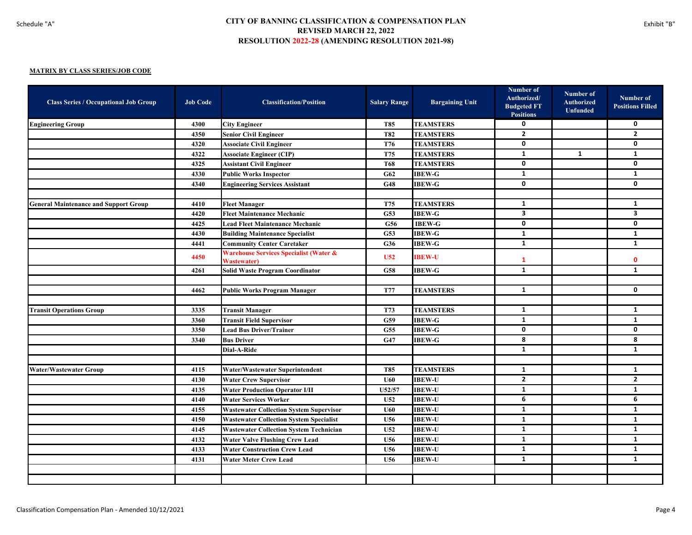| <b>Class Series / Occupational Job Group</b> | <b>Job Code</b> | <b>Classification/Position</b>                                          | <b>Salary Range</b> | <b>Bargaining Unit</b> | Number of<br>Authorized/<br><b>Budgeted FT</b><br><b>Positions</b> | Number of<br><b>Authorized</b><br><b>Unfunded</b> | Number of<br><b>Positions Filled</b> |
|----------------------------------------------|-----------------|-------------------------------------------------------------------------|---------------------|------------------------|--------------------------------------------------------------------|---------------------------------------------------|--------------------------------------|
| <b>Engineering Group</b>                     | 4300            | <b>City Engineer</b>                                                    | <b>T85</b>          | <b>TEAMSTERS</b>       | 0                                                                  |                                                   | 0                                    |
|                                              | 4350            | <b>Senior Civil Engineer</b>                                            | <b>T82</b>          | <b>TEAMSTERS</b>       | $\overline{2}$                                                     |                                                   | $\overline{2}$                       |
|                                              | 4320            | <b>Associate Civil Engineer</b>                                         | <b>T76</b>          | <b>TEAMSTERS</b>       | 0                                                                  |                                                   | $\mathbf 0$                          |
|                                              | 4322            | <b>Associate Engineer (CIP)</b>                                         | T75                 | <b>TEAMSTERS</b>       | $\mathbf{1}$                                                       | $\mathbf{1}$                                      | $\mathbf{1}$                         |
|                                              | 4325            | <b>Assistant Civil Engineer</b>                                         | <b>T68</b>          | <b>TEAMSTERS</b>       | 0                                                                  |                                                   | $\mathbf{0}$                         |
|                                              | 4330            | <b>Public Works Inspector</b>                                           | G62                 | <b>IBEW-G</b>          | 1                                                                  |                                                   | 1                                    |
|                                              | 4340            | <b>Engineering Services Assistant</b>                                   | G48                 | <b>IBEW-G</b>          | 0                                                                  |                                                   | $\mathbf{0}$                         |
|                                              |                 |                                                                         |                     |                        |                                                                    |                                                   |                                      |
| <b>General Maintenance and Support Group</b> | 4410            | <b>Fleet Manager</b>                                                    | <b>T75</b>          | <b>TEAMSTERS</b>       | $\mathbf{1}$                                                       |                                                   | 1                                    |
|                                              | 4420            | <b>Fleet Maintenance Mechanic</b>                                       | G53                 | <b>IBEW-G</b>          | $\mathbf{3}$                                                       |                                                   | $\overline{\mathbf{3}}$              |
|                                              | 4425            | <b>Lead Fleet Maintenance Mechanic</b>                                  | G56                 | <b>IBEW-G</b>          | 0                                                                  |                                                   | 0                                    |
|                                              | 4430            | <b>Building Maintenance Specialist</b>                                  | G53                 | <b>IBEW-G</b>          | $\mathbf{1}$                                                       |                                                   | $\mathbf{1}$                         |
|                                              | 4441            | <b>Community Center Caretaker</b>                                       | G36                 | <b>IBEW-G</b>          | 1                                                                  |                                                   | $\mathbf{1}$                         |
|                                              | 4450            | <b>Warehouse Services Specialist (Water &amp;</b><br><b>Wastewater)</b> | U <sub>52</sub>     | <b>IBEW-U</b>          | 1                                                                  |                                                   | $\mathbf{0}$                         |
|                                              | 4261            | <b>Solid Waste Program Coordinator</b>                                  | G58                 | <b>IBEW-G</b>          | $\mathbf{1}$                                                       |                                                   | $\mathbf{1}$                         |
|                                              |                 |                                                                         |                     |                        |                                                                    |                                                   |                                      |
|                                              | 4462            | <b>Public Works Program Manager</b>                                     | <b>T77</b>          | <b>TEAMSTERS</b>       | $\mathbf{1}$                                                       |                                                   | $\mathbf 0$                          |
|                                              |                 |                                                                         |                     |                        |                                                                    |                                                   |                                      |
| <b>Transit Operations Group</b>              | 3335            | <b>Transit Manager</b>                                                  | <b>T73</b>          | <b>TEAMSTERS</b>       | $\mathbf{1}$                                                       |                                                   | $\mathbf{1}$                         |
|                                              | 3360            | <b>Transit Field Supervisor</b>                                         | G59                 | <b>IBEW-G</b>          | $\mathbf{1}$                                                       |                                                   | $\mathbf{1}$                         |
|                                              | 3350            | <b>Lead Bus Driver/Trainer</b>                                          | G55                 | <b>IBEW-G</b>          | $\mathbf{0}$                                                       |                                                   | $\mathbf{0}$                         |
|                                              | 3340            | <b>Bus Driver</b>                                                       | G47                 | <b>IBEW-G</b>          | 8                                                                  |                                                   | 8                                    |
|                                              |                 | Dial-A-Ride                                                             |                     |                        | $\mathbf{1}$                                                       |                                                   | $\mathbf{1}$                         |
|                                              |                 |                                                                         |                     |                        |                                                                    |                                                   |                                      |
| <b>Water/Wastewater Group</b>                | 4115            | <b>Water/Wastewater Superintendent</b>                                  | <b>T85</b>          | <b>TEAMSTERS</b>       | $\mathbf{1}$                                                       |                                                   | 1                                    |
|                                              | 4130            | <b>Water Crew Supervisor</b>                                            | <b>U60</b>          | <b>IBEW-U</b>          | $\mathbf{2}$                                                       |                                                   | $\overline{2}$                       |
|                                              | 4135            | <b>Water Production Operator I/II</b>                                   | U52/57              | <b>IBEW-U</b>          | $\mathbf{1}$                                                       |                                                   | $\mathbf{1}$                         |
|                                              | 4140            | <b>Water Services Worker</b>                                            | U52                 | <b>IBEW-U</b>          | 6                                                                  |                                                   | 6                                    |
|                                              | 4155            | <b>Wastewater Collection System Supervisor</b>                          | U60                 | <b>IBEW-U</b>          | $\mathbf{1}$                                                       |                                                   | $\mathbf{1}$                         |
|                                              | 4150            | <b>Wastewater Collection System Specialist</b>                          | U56                 | <b>IBEW-U</b>          | 1                                                                  |                                                   | $\mathbf{1}$                         |
|                                              | 4145            | <b>Wastewater Collection System Technician</b>                          | <b>U52</b>          | <b>IBEW-U</b>          | $\mathbf{1}$                                                       |                                                   | $\mathbf{1}$                         |
|                                              | 4132            | <b>Water Valve Flushing Crew Lead</b>                                   | U56                 | <b>IBEW-U</b>          | $\mathbf{1}$                                                       |                                                   | 1                                    |
|                                              | 4133            | <b>Water Construction Crew Lead</b>                                     | U56                 | <b>IBEW-U</b>          | $\mathbf{1}$                                                       |                                                   | $\mathbf{1}$                         |
|                                              | 4131            | <b>Water Meter Crew Lead</b>                                            | U56                 | <b>IBEW-U</b>          | $\mathbf{1}$                                                       |                                                   | $\mathbf{1}$                         |
|                                              |                 |                                                                         |                     |                        |                                                                    |                                                   |                                      |
|                                              |                 |                                                                         |                     |                        |                                                                    |                                                   |                                      |